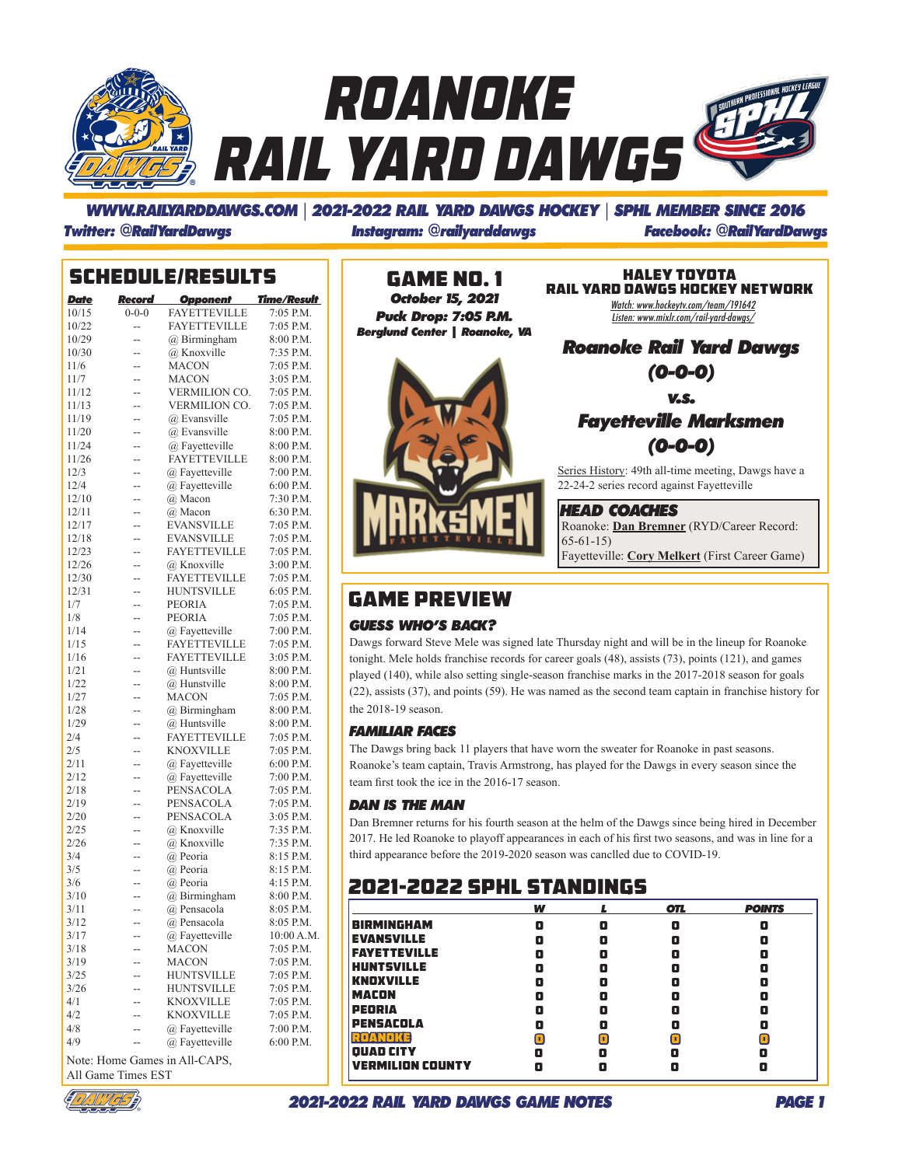

### *WWW.RAILYARDDAWGS.COM* | *2021-2022 RAIL YARD DAWGS HOCKEY* | *SPHL MEMBER SINCE 2016 Twitter: @RailYardDawgs Instagram: @railyarddawgs Facebook: @RailYardDawgs*

|              |             | <b>SCHEDULE/RESULTS</b>       |                        |
|--------------|-------------|-------------------------------|------------------------|
| <b>Date</b>  |             | <b>Record Opponent</b>        | <b>Time/Result</b>     |
| 10/15        | $0 - 0 - 0$ | <b>FAYETTEVILLE</b>           | 7:05 P.M.              |
| 10/22        | --          | <b>FAYETTEVILLE</b>           | 7:05 P.M.              |
| 10/29        | --          | @ Birmingham                  | 8:00 P.M.              |
| 10/30        | --          | @ Knoxville                   | 7:35 P.M.              |
| 11/6         | --          | <b>MACON</b>                  | 7:05 P.M.              |
| 11/7         | --          | <b>MACON</b>                  | 3:05 P.M.              |
| 11/12        | --          | <b>VERMILION CO.</b>          | 7:05 P.M.              |
| 11/13        | --          | <b>VERMILION CO.</b>          | 7:05 P.M.              |
| 11/19        | --          | @ Evansville                  | 7:05 P.M.              |
| 11/20        | --          | @ Evansville                  | 8:00 P.M.              |
| 11/24        | --          | @ Fayetteville                | 8:00 P.M.              |
| 11/26        | --          | <b>FAYETTEVILLE</b>           | 8:00 P.M.              |
| 12/3         | --          | @ Favetteville                | 7:00 P.M.              |
| 12/4         | --          | @ Fayetteville                | 6:00 P.M.              |
| 12/10        | --          | @ Macon                       | 7:30 P.M.              |
| 12/11        | --          | @ Macon                       | 6:30 P.M.              |
| 12/17        | --          | <b>EVANSVILLE</b>             | 7:05 P.M.              |
| 12/18        | --          | <b>EVANSVILLE</b>             | 7:05 P.M.              |
| 12/23        | --          | <b>FAYETTEVILLE</b>           | 7:05 P.M.              |
| 12/26        | --          | @ Knoxville                   | 3:00 P.M.              |
| 12/30        | --          | <b>FAYETTEVILLE</b>           | 7:05 P.M.              |
| 12/31        | --          | <b>HUNTSVILLE</b>             | 6:05 P.M.              |
| 1/7          | --          | <b>PEORIA</b>                 | 7:05 P.M.              |
| 1/8          | --          | <b>PEORIA</b>                 | 7:05 P.M.              |
| 1/14         | --          | @ Fayetteville                | 7:00 P.M.              |
| 1/15         | --          | <b>FAYETTEVILLE</b>           | 7:05 P.M.              |
| 1/16         | --          | <b>FAYETTEVILLE</b>           | 3:05 P.M.              |
| 1/21         | --          | @ Huntsville                  | 8:00 P.M.              |
| 1/22         | --          | @ Hunstville                  | 8:00 P.M.              |
| 1/27         | --          | <b>MACON</b>                  | 7:05 P.M.              |
| 1/28         | --          | $(a)$ Birmingham              | 8:00 P.M.              |
| 1/29         | --          | @ Huntsville                  | 8:00 P.M.              |
| 2/4          | --          | <b>FAYETTEVILLE</b>           | 7:05 P.M.              |
| 2/5          | --          | <b>KNOXVILLE</b>              | 7:05 P.M.              |
| 2/11         | --          | @ Fayetteville                | 6:00 P.M.              |
| 2/12         | --          | @ Fayetteville                | 7:00 P.M.              |
| 2/18         | --          | PENSACOLA                     | 7:05 P.M.              |
| 2/19         | --          | PENSACOLA                     | 7:05 P.M.              |
| 2/20         | --          | PENSACOLA                     | 3:05 P.M.              |
| 2/25<br>2/26 | --          | @ Knoxville<br>@ Knoxville    | 7:35 P.M.<br>7:35 P.M. |
| 3/4          | --          | @ Peoria                      | 8:15 P.M.              |
| 3/5          | --          | @ Peoria                      | 8:15 P.M.              |
| 3/6          | --          | @ Peoria                      | 4:15 P.M.              |
| 3/10         | --<br>--    | @ Birmingham                  | 8:00 P.M.              |
| 3/11         | --          | @ Pensacola                   | 8:05 P.M.              |
| 3/12         |             |                               | 8:05 P.M.              |
| 3/17         | --          | @ Pensacola<br>@ Fayetteville | 10:00 A.M              |
| 3/18         |             | MACON                         | 7:05 P.M.              |
| 3/19         |             | <b>MACON</b>                  | 7:05 P.M.              |
| 3/25         | --          | <b>HUNTSVILLE</b>             | 7:05 P.M.              |
| 3/26         | --          | HUNTSVILLE                    | 7:05 P.M.              |
| 4/1          | --          | <b>KNOXVILLE</b>              | 7:05 P.M.              |
| 4/2          | --          | <b>KNOXVILLE</b>              | 7:05 P.M.              |
| 4/8          | --          | @ Fayetteville                | 7:00 P.M.              |
| 4/9          |             | @ Favetteville                | 6:00 P.M.              |
|              |             |                               |                        |

Note: Home Games in All-CAPS, All Game Times EST



Game No. 1 *October 15, 2021 Puck Drop: 7:05 P.M. Berglund Center* **|** *Roanoke, VA* 



Watch: www.hockeytv.com/team/191642 Listen: www.mixlr.com/rail-yard-dawgs/ HALEY TOYOTA RAIL YARD DAWGS HOCKEY NETWORK

*Roanoke Rail Yard Dawgs (0-0-0)*

*v.s.*

### *Fayetteville Marksmen (0-0-0)*

Series History: 49th all-time meeting, Dawgs have a 22-24-2 series record against Fayetteville

Roanoke: **Dan Bremner** (RYD/Career Record: 65-61-15) Fayetteville: **Cory Melkert** (First Career Game) *HEAD COACHES*

### GAME PREVIEW

### *GUESS WHO'S BACK?*

Dawgs forward Steve Mele was signed late Thursday night and will be in the lineup for Roanoke tonight. Mele holds franchise records for career goals (48), assists (73), points (121), and games played (140), while also setting single-season franchise marks in the 2017-2018 season for goals (22), assists (37), and points (59). He was named as the second team captain in franchise history for the 2018-19 season.

### *FAMILIAR FACES*

The Dawgs bring back 11 players that have worn the sweater for Roanoke in past seasons. Roanoke's team captain, Travis Armstrong, has played for the Dawgs in every season since the team first took the ice in the 2016-17 season.

### *DAN IS THE MAN*

Dan Bremner returns for his fourth season at the helm of the Dawgs since being hired in December 2017. He led Roanoke to playoff appearances in each of his first two seasons, and was in line for a third appearance before the 2019-2020 season was canclled due to COVID-19.

### 2021-2022 SpHL STANDINGS

|                         | w |   | <b>OTL</b> | <b>POINTS</b> |
|-------------------------|---|---|------------|---------------|
| <b>BIRMINGHAM</b>       | O | o | O          | о             |
| <b>EVANSVILLE</b>       |   |   | О          | о             |
| <b>FAYETTEVILLE</b>     |   |   | О          | о             |
| <b>HUNTSVILLE</b>       | п | о | о          | о             |
| <b>KNOXVILLE</b>        |   |   | О          | о             |
| <b>MACON</b>            |   |   | О          | о             |
| <b>PEORIA</b>           |   |   | о          | O             |
| <b>PENSACOLA</b>        |   |   | О          | Q             |
| мо                      |   | Ω | ı.         |               |
| <b>QUAD CITY</b>        | п | о | П          | О             |
| <b>VERMILION COUNTY</b> |   |   |            |               |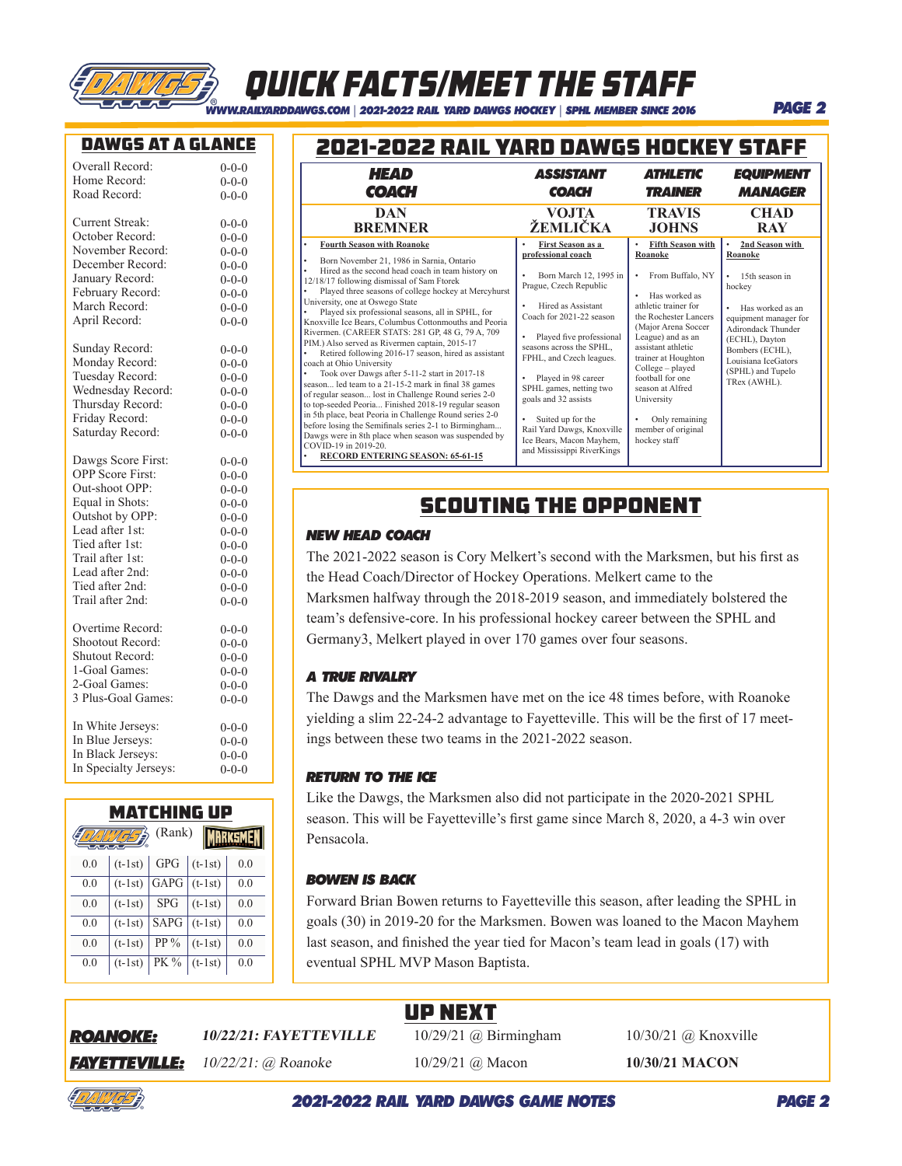

## QUICK FACTS/MEET THE STAFF

*WWW.RAILYARDDAWGS.COM* | *2021-2022 RAIL YARD DAWGS HOCKEY* | *SPHL MEMBER SINCE 2016*

### DAWGS AT A GLANCE

| Overall Record:         | $0 - 0 - 0$ |
|-------------------------|-------------|
| Home Record:            | $0 - 0 - 0$ |
| Road Record:            | $0 - 0 - 0$ |
| <b>Current Streak:</b>  | $0 - 0 - 0$ |
| October Record:         | $0 - 0 - 0$ |
| November Record:        | $0 - 0 - 0$ |
| December Record:        | $0 - 0 - 0$ |
| January Record:         | $0 - 0 - 0$ |
| February Record:        | $0 - 0 - 0$ |
| March Record:           | $0 - 0 - 0$ |
| April Record:           | $0 - 0 - 0$ |
| Sunday Record:          | $0 - 0 - 0$ |
| Monday Record:          | $0 - 0 - 0$ |
| Tuesday Record:         | $0 - 0 - 0$ |
| Wednesday Record:       | $0 - 0 - 0$ |
| Thursday Record:        | $0 - 0 - 0$ |
| Friday Record:          | $0 - 0 - 0$ |
| Saturday Record:        | $0 - 0 - 0$ |
| Dawgs Score First:      | $0 - 0 - 0$ |
| <b>OPP</b> Score First: | $0 - 0 - 0$ |
| Out-shoot OPP:          | $0 - 0 - 0$ |
| Equal in Shots:         | $0 - 0 - 0$ |
| Outshot by OPP:         | $0 - 0 - 0$ |
| Lead after 1st:         | $0 - 0 - 0$ |
| Tied after 1st:         | $0 - 0 - 0$ |
| Trail after 1st:        | $0 - 0 - 0$ |
| Lead after 2nd:         | $0 - 0 - 0$ |
| Tied after 2nd:         | $0 - 0 - 0$ |
| Trail after 2nd:        | $0 - 0 - 0$ |
| Overtime Record:        | $0 - 0 - 0$ |
| Shootout Record:        | $0 - 0 - 0$ |
| <b>Shutout Record:</b>  | $0 - 0 - 0$ |
| 1-Goal Games:           | $0 - 0 - 0$ |
| 2-Goal Games:           | $0 - 0 - 0$ |
| 3 Plus-Goal Games:      | $0 - 0 - 0$ |
| In White Jerseys:       | $0 - 0 - 0$ |
| In Blue Jerseys:        | $0 - 0 - 0$ |
| In Black Jerseys:       | $0 - 0 - 0$ |
| In Specialty Jerseys:   | $0 - 0 - 0$ |

### Matching Up  $\mathbb{Z}$  (Rank) **MARKSMEN** 0.0  $|(t-1st)|$  GPG  $|(t-1st)|$  0.0 0.0  $(t-1st)$  GAPG  $(t-1st)$  0.0 0.0  $(t-1st)$  SPG  $(t-1st)$  0.0 0.0  $(t-1st)$  SAPG  $(t-1st)$  0.0

0.0  $(t-1st)$  PP %  $(t-1st)$  0.0 0.0  $(t-1st)$  PK %  $(t-1st)$  0.0

### 2021-2022 RAIL YARD DAWGS HOCKEY STAFF

| HEAD                                                                                                                                                                                                                                                                                                                                                                                                                                                                                                                                                                                                                                                                                                                                                                                                                                                                                                                                                                                                                                                                                  | <i><b>ASSISTANT</b></i>                                                                                                                                                                                                                                                                                                                                                                                                         | <b>ATHLETIC</b>                                                                                                                                                                                                                                                                                                                                      | <b>EQUIPMENT</b>                                                                                                                                                                                                                |
|---------------------------------------------------------------------------------------------------------------------------------------------------------------------------------------------------------------------------------------------------------------------------------------------------------------------------------------------------------------------------------------------------------------------------------------------------------------------------------------------------------------------------------------------------------------------------------------------------------------------------------------------------------------------------------------------------------------------------------------------------------------------------------------------------------------------------------------------------------------------------------------------------------------------------------------------------------------------------------------------------------------------------------------------------------------------------------------|---------------------------------------------------------------------------------------------------------------------------------------------------------------------------------------------------------------------------------------------------------------------------------------------------------------------------------------------------------------------------------------------------------------------------------|------------------------------------------------------------------------------------------------------------------------------------------------------------------------------------------------------------------------------------------------------------------------------------------------------------------------------------------------------|---------------------------------------------------------------------------------------------------------------------------------------------------------------------------------------------------------------------------------|
| <b>COACH</b>                                                                                                                                                                                                                                                                                                                                                                                                                                                                                                                                                                                                                                                                                                                                                                                                                                                                                                                                                                                                                                                                          | <b>COACH</b>                                                                                                                                                                                                                                                                                                                                                                                                                    | <b><i>TRAINER</i></b>                                                                                                                                                                                                                                                                                                                                | <b>MANAGER</b>                                                                                                                                                                                                                  |
| DAN                                                                                                                                                                                                                                                                                                                                                                                                                                                                                                                                                                                                                                                                                                                                                                                                                                                                                                                                                                                                                                                                                   | VOJTA                                                                                                                                                                                                                                                                                                                                                                                                                           | <b>TRAVIS</b>                                                                                                                                                                                                                                                                                                                                        | <b>CHAD</b>                                                                                                                                                                                                                     |
| <b>BREMNER</b>                                                                                                                                                                                                                                                                                                                                                                                                                                                                                                                                                                                                                                                                                                                                                                                                                                                                                                                                                                                                                                                                        | ŻEMLIČKA                                                                                                                                                                                                                                                                                                                                                                                                                        | <b>JOHNS</b>                                                                                                                                                                                                                                                                                                                                         | <b>RAY</b>                                                                                                                                                                                                                      |
| <b>Fourth Season with Roanoke</b><br>$\bullet$<br>Born November 21, 1986 in Sarnia, Ontario<br>$\bullet$<br>Hired as the second head coach in team history on<br>12/18/17 following dismissal of Sam Ftorek<br>Played three seasons of college hockey at Mercyhurst<br>University, one at Oswego State<br>Played six professional seasons, all in SPHL, for<br>Knoxville Ice Bears, Columbus Cottonmouths and Peoria<br>Rivermen. (CAREER STATS: 281 GP, 48 G, 79 A, 709<br>PIM.) Also served as Rivermen captain, 2015-17<br>Retired following 2016-17 season, hired as assistant<br>coach at Ohio University<br>Took over Dawgs after 5-11-2 start in 2017-18<br>season led team to a 21-15-2 mark in final 38 games<br>of regular season lost in Challenge Round series 2-0<br>to top-seeded Peoria Finished 2018-19 regular season<br>in 5th place, beat Peoria in Challenge Round series 2-0<br>before losing the Semifinals series 2-1 to Birmingham<br>Dawgs were in 8th place when season was suspended by<br>COVID-19 in 2019-20.<br><b>RECORD ENTERING SEASON: 65-61-15</b> | <b>First Season as a</b><br>professional coach<br>Born March 12, 1995 in<br>Prague, Czech Republic<br>Hired as Assistant<br>Coach for 2021-22 season<br>Played five professional<br>seasons across the SPHL,<br>FPHL, and Czech leagues.<br>Played in 98 career<br>SPHL games, netting two<br>goals and 32 assists<br>Suited up for the<br>Rail Yard Dawgs, Knoxville<br>Ice Bears, Macon Mayhem,<br>and Mississippi RiverKings | <b>Fifth Season with</b><br>Roanoke<br>From Buffalo, NY<br>Has worked as<br>athletic trainer for<br>the Rochester Lancers<br>(Major Arena Soccer<br>League) and as an<br>assistant athletic<br>trainer at Houghton<br>College - played<br>football for one<br>season at Alfred<br>University<br>Only remaining<br>member of original<br>hockey staff | 2nd Season with<br>Roanoke<br>15th season in<br>٠<br>hockey<br>Has worked as an<br>equipment manager for<br>Adirondack Thunder<br>(ECHL), Dayton<br>Bombers (ECHL),<br>Louisiana IceGators<br>(SPHL) and Tupelo<br>TRex (AWHL). |

### Scouting the opponent

### *NEW HEAD COACH*

The 2021-2022 season is Cory Melkert's second with the Marksmen, but his first as the Head Coach/Director of Hockey Operations. Melkert came to the Marksmen halfway through the 2018-2019 season, and immediately bolstered the team's defensive-core. In his professional hockey career between the SPHL and Germany3, Melkert played in over 170 games over four seasons.

### *A TRUE RIVALRY*

The Dawgs and the Marksmen have met on the ice 48 times before, with Roanoke yielding a slim 22-24-2 advantage to Fayetteville. This will be the first of 17 meetings between these two teams in the 2021-2022 season.

### *RETURN TO THE ICE*

Like the Dawgs, the Marksmen also did not participate in the 2020-2021 SPHL season. This will be Fayetteville's first game since March 8, 2020, a 4-3 win over Pensacola.

### *BOWEN IS BACK*

Forward Brian Bowen returns to Fayetteville this season, after leading the SPHL in goals (30) in 2019-20 for the Marksmen. Bowen was loaned to the Macon Mayhem last season, and finished the year tied for Macon's team lead in goals (17) with eventual SPHL MVP Mason Baptista.

### Up next

*ROANOKE:*

**10/22/21: FAYETTEVILLE** 10/29/21 @ Birmingham10/30/21 @ Knoxville

**FAYETTEVILLE:** 10/22/21: @ Roanoke 10/29/21 @ Macon 10/30/21 MACON

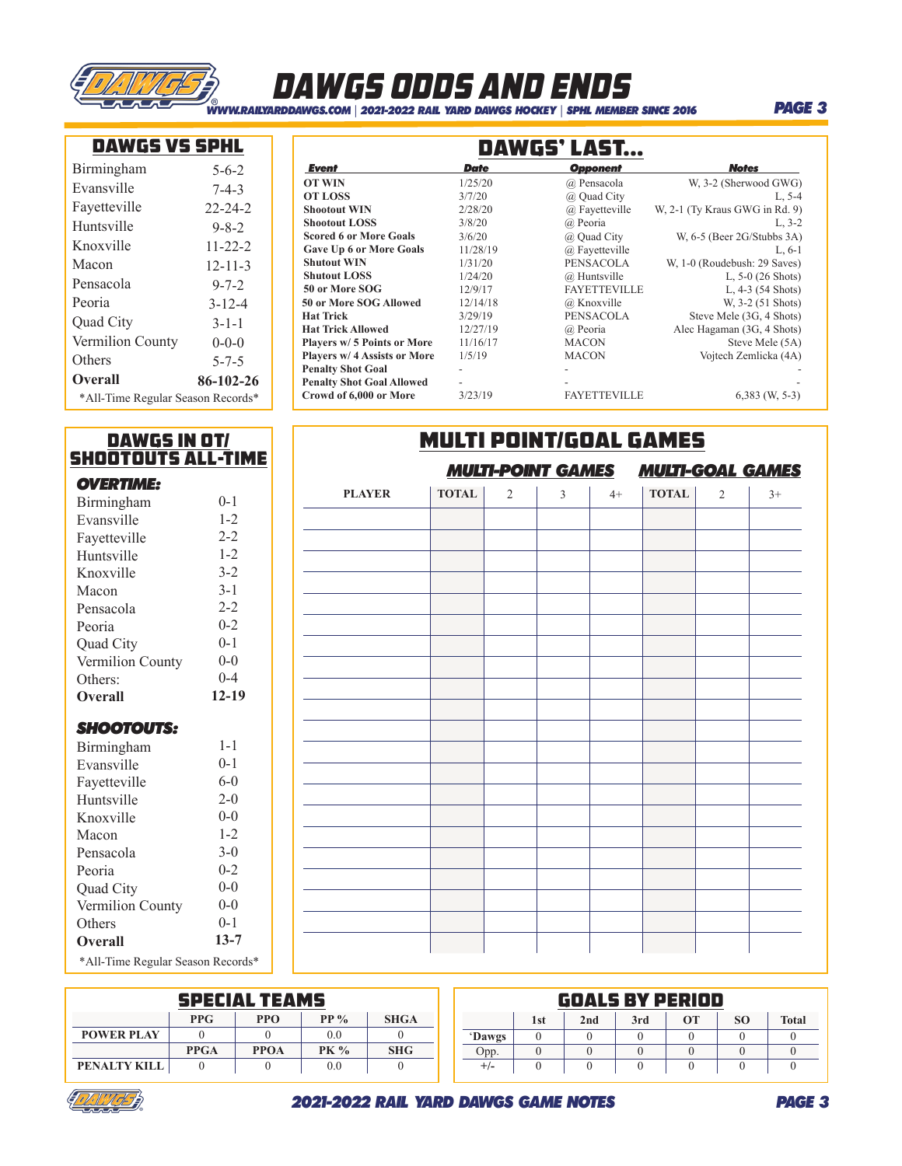

## dawgs odds and ends

*WWW.RAILYARDDAWGS.COM* | *2021-2022 RAIL YARD DAWGS HOCKEY* | *SPHL MEMBER SINCE 2016*

### *PAGE 3*

|--|

| Birmingham                        | $5 - 6 - 2$   |  |  |  |
|-----------------------------------|---------------|--|--|--|
| Evansville                        | $7 - 4 - 3$   |  |  |  |
| Fayetteville                      | $22 - 24 - 2$ |  |  |  |
| Huntsville                        | $9 - 8 - 2$   |  |  |  |
| Knoxville                         | $11 - 22 - 2$ |  |  |  |
| Macon                             | $12 - 11 - 3$ |  |  |  |
| Pensacola                         | $9 - 7 - 2$   |  |  |  |
| Peoria                            | $3 - 12 - 4$  |  |  |  |
| Quad City                         | $3 - 1 - 1$   |  |  |  |
| Vermilion County                  | $0-0-0$       |  |  |  |
| Others                            | $5 - 7 - 5$   |  |  |  |
| <b>Overall</b>                    | 86-102-26     |  |  |  |
| *All-Time Regular Season Records* |               |  |  |  |

| <b>DAWGS VS SPHL</b>              |               |                                    |                          | DAWGS' LAST         |                                |
|-----------------------------------|---------------|------------------------------------|--------------------------|---------------------|--------------------------------|
| irmingham                         | $5 - 6 - 2$   | Event                              | <b>Date</b>              | <b>Opponent</b>     | <b>Notes</b>                   |
| vansville                         | $7 - 4 - 3$   | <b>OT WIN</b>                      | 1/25/20                  | @ Pensacola         | W, 3-2 (Sherwood GWG)          |
|                                   |               | <b>OT LOSS</b>                     | 3/7/20                   | @ Quad City         | $L, 5-4$                       |
| ayetteville                       | $22 - 24 - 2$ | <b>Shootout WIN</b>                | 2/28/20                  | @ Fayetteville      | W, 2-1 (Ty Kraus GWG in Rd. 9) |
| Iuntsville                        | $9 - 8 - 2$   | <b>Shootout LOSS</b>               | 3/8/20                   | @ Peoria            | $L, 3-2$                       |
|                                   |               | <b>Scored 6 or More Goals</b>      | 3/6/20                   | @ Quad City         | W, $6-5$ (Beer 2G/Stubbs 3A)   |
| hoxville                          | $11 - 22 - 2$ | <b>Gave Up 6 or More Goals</b>     | 11/28/19                 | @ Fayetteville      | $L, 6-1$                       |
| 1acon                             | $12 - 11 - 3$ | <b>Shutout WIN</b>                 | 1/31/20                  | PENSACOLA           | W, 1-0 (Roudebush: 29 Saves)   |
| ensacola                          | $9 - 7 - 2$   | <b>Shutout LOSS</b>                | 1/24/20                  | @ Huntsville        | L, $5-0$ (26 Shots)            |
|                                   |               | 50 or More SOG                     | 12/9/17                  | <b>FAYETTEVILLE</b> | L, $4-3$ (54 Shots)            |
| eoria                             | $3 - 12 - 4$  | 50 or More SOG Allowed             | 12/14/18                 | @ Knoxville         | W. 3-2 (51 Shots)              |
| uad City                          | $3 - 1 - 1$   | <b>Hat Trick</b>                   | 3/29/19                  | PENSACOLA           | Steve Mele (3G, 4 Shots)       |
|                                   |               | <b>Hat Trick Allowed</b>           | 12/27/19                 | @ Peoria            | Alec Hagaman (3G, 4 Shots)     |
| ermilion County                   | $0 - 0 - 0$   | <b>Players w/ 5 Points or More</b> | 11/16/17                 | <b>MACON</b>        | Steve Mele (5A)                |
| thers                             | $5 - 7 - 5$   | Players w/ 4 Assists or More       | 1/5/19                   | <b>MACON</b>        | Vojtech Zemlicka (4A)          |
|                                   |               | <b>Penalty Shot Goal</b>           | $\overline{\phantom{0}}$ |                     |                                |
| <b>)</b> verall                   | 86-102-26     | <b>Penalty Shot Goal Allowed</b>   |                          |                     |                                |
| *All-Time Regular Season Records* |               | Crowd of 6,000 or More             | 3/23/19                  | <b>FAYETTEVILLE</b> | $6,383$ (W, 5-3)               |

| DAWGS IN OT/              |          |  | <b>MULTI POINT/GOAL GAMES</b>                       |              |                |   |      |              |                |      |  |
|---------------------------|----------|--|-----------------------------------------------------|--------------|----------------|---|------|--------------|----------------|------|--|
| <b>SHOOTOUTS ALL-TIME</b> |          |  | <b>MULTI-GOAL GAMES</b><br><b>MULTI-POINT GAMES</b> |              |                |   |      |              |                |      |  |
| <b>OVERTIME:</b>          |          |  | <b>PLAYER</b>                                       | <b>TOTAL</b> | $\overline{2}$ | 3 | $4+$ | <b>TOTAL</b> | $\overline{2}$ | $3+$ |  |
| Birmingham                | $0 - 1$  |  |                                                     |              |                |   |      |              |                |      |  |
| Evansville                | $1 - 2$  |  |                                                     |              |                |   |      |              |                |      |  |
| Fayetteville              | $2 - 2$  |  |                                                     |              |                |   |      |              |                |      |  |
| Huntsville                | $1 - 2$  |  |                                                     |              |                |   |      |              |                |      |  |
| Knoxville                 | $3 - 2$  |  |                                                     |              |                |   |      |              |                |      |  |
| Macon                     | $3 - 1$  |  |                                                     |              |                |   |      |              |                |      |  |
| Pensacola                 | $2 - 2$  |  |                                                     |              |                |   |      |              |                |      |  |
| Peoria                    | $0 - 2$  |  |                                                     |              |                |   |      |              |                |      |  |
| Quad City                 | $0 - 1$  |  |                                                     |              |                |   |      |              |                |      |  |
| Vermilion County          | $0 - 0$  |  |                                                     |              |                |   |      |              |                |      |  |
| Others:                   | $0 - 4$  |  |                                                     |              |                |   |      |              |                |      |  |
| <b>Overall</b>            | $12-19$  |  |                                                     |              |                |   |      |              |                |      |  |
| <b>SHOOTOUTS:</b>         |          |  |                                                     |              |                |   |      |              |                |      |  |
| Birmingham                | $1 - 1$  |  |                                                     |              |                |   |      |              |                |      |  |
| Evansville                | $0 - 1$  |  |                                                     |              |                |   |      |              |                |      |  |
| Fayetteville              | $6-0$    |  |                                                     |              |                |   |      |              |                |      |  |
| Huntsville                | $2 - 0$  |  |                                                     |              |                |   |      |              |                |      |  |
| Knoxville                 | $0 - 0$  |  |                                                     |              |                |   |      |              |                |      |  |
| Macon                     | $1 - 2$  |  |                                                     |              |                |   |      |              |                |      |  |
| Pensacola                 | $3 - 0$  |  |                                                     |              |                |   |      |              |                |      |  |
| Peoria                    | $0 - 2$  |  |                                                     |              |                |   |      |              |                |      |  |
| Quad City                 | $0-0$    |  |                                                     |              |                |   |      |              |                |      |  |
| Vermilion County          | $0-0$    |  |                                                     |              |                |   |      |              |                |      |  |
| Others                    | $0 - 1$  |  |                                                     |              |                |   |      |              |                |      |  |
| Overall                   | $13 - 7$ |  |                                                     |              |                |   |      |              |                |      |  |

\*All-Time Regular Season Records\*

| <b>SPECIAL TEAMS</b> |             |             |             |             |          |     | <b>GOALS BY PERIOD</b> |     |    |           |              |
|----------------------|-------------|-------------|-------------|-------------|----------|-----|------------------------|-----|----|-----------|--------------|
|                      | <b>PPG</b>  | PPO         | $PP\%$      | <b>SHGA</b> |          | 1st | 2nd                    | 3rd | OТ | <b>SO</b> | <b>Total</b> |
| <b>POWER PLAY</b>    |             |             | 0.0         |             | 'Dawgs   |     |                        |     |    |           |              |
|                      | <b>PPGA</b> | <b>PPOA</b> | <b>PK %</b> | <b>SHG</b>  | Opp.     |     |                        |     |    |           |              |
| PENALTY KILL         |             |             | 0.0         |             | $^{+/-}$ |     |                        |     |    |           |              |

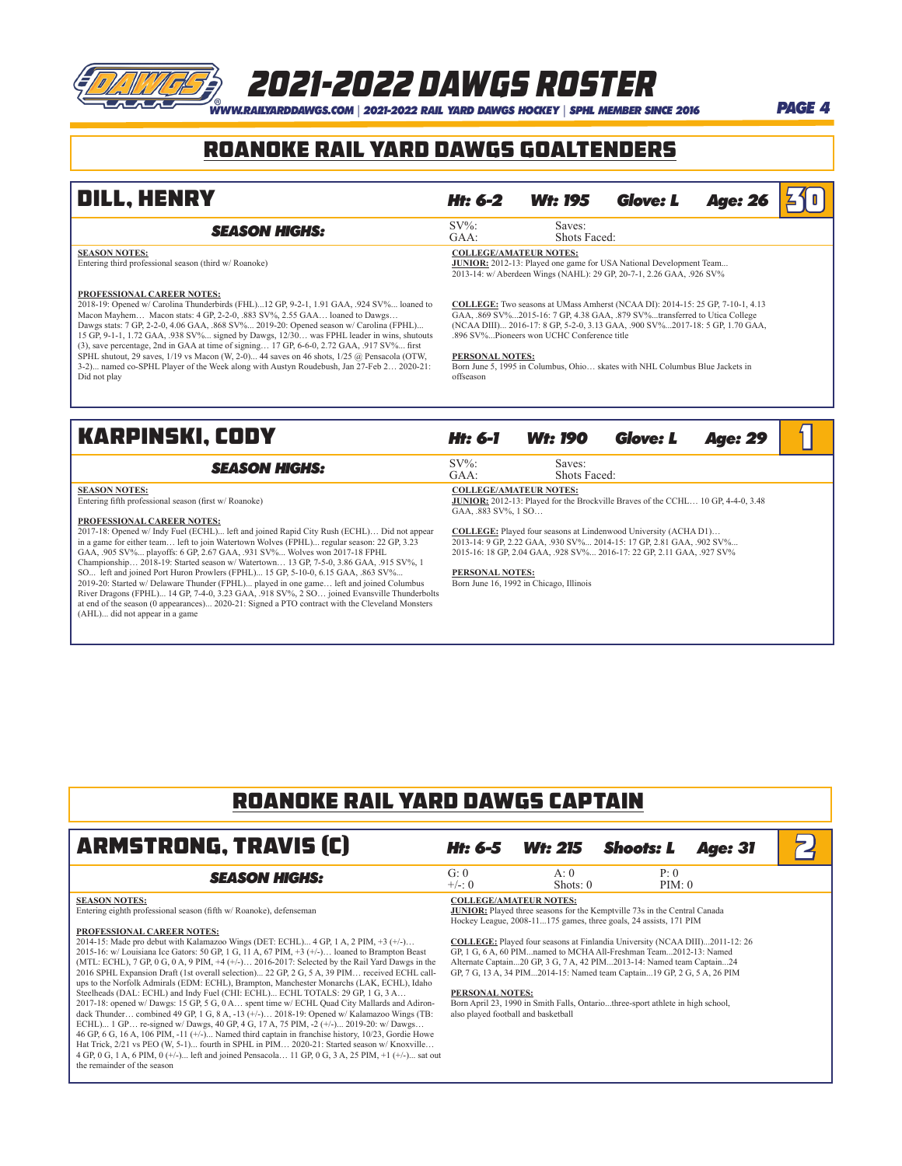## 2021-2022 dawgs Roster

*WWW.RAILYARDDAWGS.COM* | *2021-2022 RAIL YARD DAWGS HOCKEY* | *SPHL MEMBER SINCE 2016 PAGE 4*

### ROANOKE RAIL YARD DAWGS GOALTENDERS

| <b>DILL, HENRY</b>                                                                                                         | Ht: 6-2                       | <b>Wt: 195</b>         | <b>Glove: L</b>                                                                                                                                   | <b>Age: 26</b> | 210 |
|----------------------------------------------------------------------------------------------------------------------------|-------------------------------|------------------------|---------------------------------------------------------------------------------------------------------------------------------------------------|----------------|-----|
| <b>SEASON HIGHS:</b>                                                                                                       | $SV\%$ :<br>$GAA$ :           | Saves:<br>Shots Faced: |                                                                                                                                                   |                |     |
| <b>SEASON NOTES:</b><br>Entering third professional season (third w/Roanoke)                                               | <b>COLLEGE/AMATEUR NOTES:</b> |                        | <b>JUNIOR:</b> 2012-13: Played one game for USA National Development Team<br>2013-14: w/ Aberdeen Wings (NAHL): 29 GP, 20-7-1, 2.26 GAA, .926 SV% |                |     |
| <b>PROFESSIONAL CAREER NOTES:</b><br>2018-19: Opened w/ Carolina Thunderbirds (FHL) 12 GP 9-2-1 1.91 GAA 924 SV% loaned to |                               |                        | COLLEGE: Two seasons at UMass Amberst (NCAA DI): 2014-15: 25 GP 7-10-1 4 13                                                                       |                |     |

2018-19: Opened w/ Carolina Thunderbirds (FHL)...12 GP, 9-2-1, 1.91 GAA, .924 SV%... loaned to Mavhem... Macon stats: 4 GP, 2-2-0, .883 SV%, 2.55 GAA... loaned to Dawgs... Dawgs stats: 7 GP, 2-2-0, 4.06 GAA, .868 SV%... 2019-20: Opened season w/ Carolina (FPHL)...<br>15 GP, 9-1-1, 1.72 GAA, .938 SV%... signed by Dawgs, 12/30... was FPHL leader in wins, shutouts<br>(3), save percentage, 2nd in GAA 3-2)... named co-SPHL Player of the Week along with Austyn Roudebush, Jan 27-Feb 2… 2020-21: Did not play

### **COLLEGE:** Two seasons at UMass Amherst (NCAA DI): 2014-15: 25 GP, 7-10-1, 4.13 GAA, .869 SV%...2015-16: 7 GP, 4.38 GAA, .879 SV%...transferred to Utica College (NCAA DIII)... 2016-17: 8 GP, 5-2-0, 3.13 GAA, .900 SV%...2017-18: 5 GP, 1.70 GAA, .896 SV%...Pioneers won UCHC Conference title

### **PERSONAL NOTES:**

Born June 5, 1995 in Columbus, Ohio… skates with NHL Columbus Blue Jackets in offseason

### Karpinski, CODY *Ht: 6-1 Wt: 190 Glove: L Age: 29* 1

| <b>SEASON HIGHS:</b>                                                                       | $SV\%$ :                                | Saves:                                                                                  |  |
|--------------------------------------------------------------------------------------------|-----------------------------------------|-----------------------------------------------------------------------------------------|--|
|                                                                                            | GAA:                                    | Shots Faced:                                                                            |  |
| <b>SEASON NOTES:</b>                                                                       | <b>COLLEGE/AMATEUR NOTES:</b>           |                                                                                         |  |
| Entering fifth professional season (first w/ Roanoke)                                      |                                         | <b>JUNIOR:</b> 2012-13: Played for the Brockville Braves of the CCHL 10 GP, 4-4-0, 3.48 |  |
|                                                                                            | GAA. 883 SV% 1 SO                       |                                                                                         |  |
| PROFESSIONAL CAREER NOTES:                                                                 |                                         |                                                                                         |  |
| 2017-18: Opened w/ Indy Fuel (ECHL) left and joined Rapid City Rush (ECHL) Did not appear  |                                         | <b>COLLEGE:</b> Played four seasons at Lindenwood University (ACHA D1)                  |  |
| in a game for either team left to join Watertown Wolves (FPHL) regular season: 22 GP, 3.23 |                                         | 2013-14: 9 GP, 2.22 GAA, .930 SV% 2014-15: 17 GP, 2.81 GAA, .902 SV%                    |  |
| GAA, .905 SV% playoffs: 6 GP, 2.67 GAA, .931 SV% Wolves won 2017-18 FPHL                   |                                         | 2015-16: 18 GP, 2.04 GAA, .928 SV% 2016-17: 22 GP, 2.11 GAA, .927 SV%                   |  |
| Championship 2018-19: Started season w/ Watertown 13 GP, 7-5-0, 3.86 GAA, 915 SV%, 1       |                                         |                                                                                         |  |
| SO left and joined Port Huron Prowlers (FPHL) 15 GP, 5-10-0, 6.15 GAA, 863 SV%             | <b>PERSONAL NOTES:</b>                  |                                                                                         |  |
| 2019-20: Started w/ Delaware Thunder (FPHL) played in one game left and joined Columbus    | Born June 16, 1992 in Chicago, Illinois |                                                                                         |  |

SO... left and joined Port Huron Prowlers (FPHL)... 15 GP, 5-10-0, 6.15 GAA, .863 SV‰...<br>2019-20: Started w/ Delaware Thunder (FPHL)... played in one game... left and joined Columbus<br>River Dragons (FPHL)... 14 GP, 7-4-0, at end of the season (0 appearances)... 2020-21: Signed a PTO contract with the Cleveland Monsters (AHL)... did not appear in a game

### ROANOKE RAIL YARD DAWGS CAPTAIN

| <b>ARMSTRONG, TRAVIS (C)</b>                                                                                                                                                                                                                                                                                                                                                                                                                                                                                                                                                                                                                                                                                                                                                                                                                                                                                                                                                                                                                                                                                                                                                                                                                                                                                                                     | Ht: 6-5                                                                                 | <b>Wt: 215</b>    | <b>Shoots: L</b>                                                                                                                                                                                                                                                                                                                                                                                                                                                                                                                                       | <b>Age: 31</b> |  |
|--------------------------------------------------------------------------------------------------------------------------------------------------------------------------------------------------------------------------------------------------------------------------------------------------------------------------------------------------------------------------------------------------------------------------------------------------------------------------------------------------------------------------------------------------------------------------------------------------------------------------------------------------------------------------------------------------------------------------------------------------------------------------------------------------------------------------------------------------------------------------------------------------------------------------------------------------------------------------------------------------------------------------------------------------------------------------------------------------------------------------------------------------------------------------------------------------------------------------------------------------------------------------------------------------------------------------------------------------|-----------------------------------------------------------------------------------------|-------------------|--------------------------------------------------------------------------------------------------------------------------------------------------------------------------------------------------------------------------------------------------------------------------------------------------------------------------------------------------------------------------------------------------------------------------------------------------------------------------------------------------------------------------------------------------------|----------------|--|
| <b>SEASON HIGHS:</b>                                                                                                                                                                                                                                                                                                                                                                                                                                                                                                                                                                                                                                                                                                                                                                                                                                                                                                                                                                                                                                                                                                                                                                                                                                                                                                                             | G: 0<br>$+/-: 0$                                                                        | A:0<br>Shots: $0$ | P: 0<br>PIM: 0                                                                                                                                                                                                                                                                                                                                                                                                                                                                                                                                         |                |  |
| <b>SEASON NOTES:</b><br>Entering eighth professional season (fifth w/ Roanoke), defenseman<br><b>PROFESSIONAL CAREER NOTES:</b><br>2014-15: Made pro debut with Kalamazoo Wings (DET: ECHL) 4 GP, 1 A, 2 PIM, +3 (+/-)<br>2015-16: w/ Louisiana Ice Gators: 50 GP, 1 G, 11 A, 67 PIM, $+3$ ( $+/-$ ) loaned to Brampton Beast<br>(MTL: ECHL), 7 GP, 0 G, 0 A, 9 PIM, $+4$ ( $+/-$ ) 2016-2017: Selected by the Rail Yard Dawgs in the<br>2016 SPHL Expansion Draft (1st overall selection) 22 GP, 2 G, 5 A, 39 PIM received ECHL call-<br>ups to the Norfolk Admirals (EDM: ECHL), Brampton, Manchester Monarchs (LAK, ECHL), Idaho<br>Steelheads (DAL: ECHL) and Indy Fuel (CHI: ECHL) ECHL TOTALS: 29 GP, 1 G, 3 A<br>2017-18: opened w/ Dawgs: 15 GP, 5 G, 0 A spent time w/ ECHL Quad City Mallards and Adiron-<br>dack Thunder combined 49 GP, 1 G, 8 A, -13 $(+/-)$ 2018-19: Opened w/ Kalamazoo Wings (TB:<br>ECHL) 1 GP re-signed w/ Dawgs, 40 GP, 4 G, 17 A, 75 PIM, -2 (+/-) 2019-20: w/ Dawgs<br>46 GP, 6 G, 16 A, 106 PIM, -11 (+/-) Named third captain in franchise history, 10/23, Gordie Howe<br>Hat Trick, 2/21 vs PEO (W, 5-1) fourth in SPHL in PIM 2020-21: Started season w/ Knoxville<br>4 GP, 0 G, 1 A, 6 PIM, 0 (+/-) left and joined Pensacola 11 GP, 0 G, 3 A, 25 PIM, +1 (+/-) sat out<br>the remainder of the season | <b>COLLEGE/AMATEUR NOTES:</b><br>PERSONAL NOTES:<br>also played football and basketball |                   | <b>JUNIOR:</b> Played three seasons for the Kemptville 73s in the Central Canada<br>Hockey League, 2008-11175 games, three goals, 24 assists, 171 PIM<br><b>COLLEGE:</b> Played four seasons at Finlandia University (NCAA DIII)2011-12: 26<br>GP, 1 G, 6 A, 60 PIMnamed to MCHA All-Freshman Team2012-13: Named<br>Alternate Captain20 GP, 3 G, 7 A, 42 PIM2013-14: Named team Captain24<br>GP, 7 G, 13 A, 34 PIM2014-15: Named team Captain19 GP, 2 G, 5 A, 26 PIM<br>Born April 23, 1990 in Smith Falls, Ontariothree-sport athlete in high school, |                |  |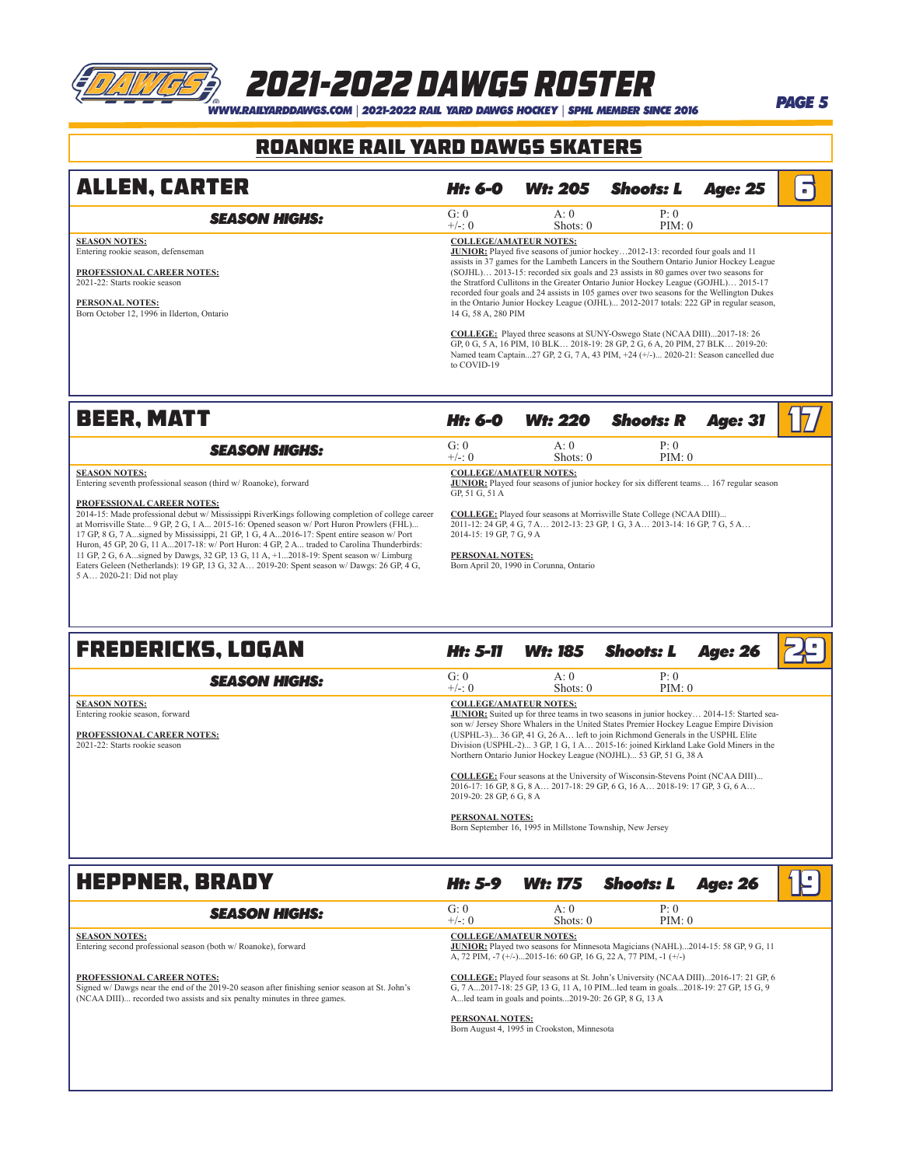# *WWW.RAILYARDDAWGS.COM* | *2021-2022 RAIL YARD DAWGS HOCKEY* | *SPHL MEMBER SINCE 2016 PAGE 5* 2021-2022 dawgs Roster

### ROANOKE RAIL YARD DAWGS Skaters

| <b>ALLEN, CARTER</b>                                               | Ht: 6-0                       | <b>Wt: 205</b>    | Shoots: L                                                                                                                                                                                                                                                               | <b>Age: 25</b> | $\blacksquare$ |
|--------------------------------------------------------------------|-------------------------------|-------------------|-------------------------------------------------------------------------------------------------------------------------------------------------------------------------------------------------------------------------------------------------------------------------|----------------|----------------|
| <b>SEASON HIGHS:</b>                                               | G: 0<br>$+/-: 0$              | A:0<br>Shots: $0$ | P: 0<br>PIM: 0                                                                                                                                                                                                                                                          |                |                |
| <b>SEASON NOTES:</b><br>Entering rookie season, defenseman         | <b>COLLEGE/AMATEUR NOTES:</b> |                   | <b>JUNIOR:</b> Played five seasons of junior hockey2012-13: recorded four goals and 11<br>assists in 37 games for the Lambeth Lancers in the Southern Ontario Junior Hockey League                                                                                      |                |                |
| <b>PROFESSIONAL CAREER NOTES:</b><br>2021-22: Starts rookie season |                               |                   | (SOJHL) 2013-15: recorded six goals and 23 assists in 80 games over two seasons for<br>the Stratford Cullitons in the Greater Ontario Junior Hockey League (GOJHL) 2015-17<br>recorded four goals and 24 assists in 105 games over two seasons for the Wellington Dukes |                |                |
| PERSONAL NOTES:<br>Born October 12, 1996 in Ilderton, Ontario      | 14 G, 58 A, 280 PIM           |                   | in the Ontario Junior Hockey League (OJHL) 2012-2017 totals: 222 GP in regular season,                                                                                                                                                                                  |                |                |
|                                                                    | to COVID-19                   |                   | <b>COLLEGE:</b> Played three seasons at SUNY-Oswego State (NCAA DIII)2017-18: 26<br>GP, 0 G, 5 A, 16 PIM, 10 BLK 2018-19: 28 GP, 2 G, 6 A, 20 PIM, 27 BLK 2019-20:<br>Named team Captain27 GP, 2 G, 7 A, 43 PIM, +24 (+/-) 2020-21: Season cancelled due                |                |                |

### **BEER, MATT Ht: 6-0 Wt: 220 Shoots: R** Age: 31

| <b>SEASON HIGHS:</b>                                                                                                                                                                                                              | G: 0<br>$+/-: 0$                                                                                                                                  | A:0<br>Shots: $0$ | P: 0<br>PIM: 0                                                             |  |
|-----------------------------------------------------------------------------------------------------------------------------------------------------------------------------------------------------------------------------------|---------------------------------------------------------------------------------------------------------------------------------------------------|-------------------|----------------------------------------------------------------------------|--|
| <b>SEASON NOTES:</b><br>Entering seventh professional season (third w/Roanoke), forward                                                                                                                                           | <b>COLLEGE/AMATEUR NOTES:</b><br><b>JUNIOR:</b> Played four seasons of junior hockey for six different teams 167 regular season<br>GP. 51 G. 51 A |                   |                                                                            |  |
| <b>PROFESSIONAL CAREER NOTES:</b><br>2014-15: Made professional debut w/ Mississippi RiverKings following completion of college career<br>at Morrisville State 9 GP, 2 G, 1 A 2015-16: Opened season w/ Port Huron Prowlers (FHL) | <b>COLLEGE:</b> Played four seasons at Morrisville State College (NCAA DIII)                                                                      |                   | 2011-12: 24 GP, 4 G, 7 A 2012-13: 23 GP, 1 G, 3 A 2013-14: 16 GP, 7 G, 5 A |  |

at Morrisville State... 9 GP, 2 G, 1 A... 2015-16: Opened season w/ Port Huron Prowlers (FHL)...<br>17 GP, 8 G, 7 A...signed by Mississippi, 21 GP, 1 G, 4 A...2016-17: Spent entire season w/ Port<br>Huron, 45 GP, 20 G, 11 A...20 11 GP, 2 G, 6 A...signed by Dawgs, 32 GP, 13 G, 11 A, +1...2018-19: Spent season w/ Limburg Eaters Geleen (Netherlands): 19 GP, 13 G, 32 A… 2019-20: Spent season w/ Dawgs: 26 GP, 4 G, 5 A… 2020-21: Did not play

2014-15: 19 GP, 7 G, 9 A

### **PERSONAL NOTES:**

Born April 20, 1990 in Corunna, Ontario

| <b>FREDERICKS, LOGAN</b>                                                                                               | Ht: 5-11                 | <b>Wt: 185</b>                                            | <b>Shoots: L</b>                                                                                                                                                                                                                                                                                                                                                                                                                   | <b>Age: 26</b> |  |
|------------------------------------------------------------------------------------------------------------------------|--------------------------|-----------------------------------------------------------|------------------------------------------------------------------------------------------------------------------------------------------------------------------------------------------------------------------------------------------------------------------------------------------------------------------------------------------------------------------------------------------------------------------------------------|----------------|--|
| <b>SEASON HIGHS:</b>                                                                                                   | G: 0<br>$+/-: 0$         | A:0<br>Shots: $0$                                         | P: 0<br>PIM: 0                                                                                                                                                                                                                                                                                                                                                                                                                     |                |  |
| <b>SEASON NOTES:</b><br>Entering rookie season, forward<br>PROFESSIONAL CAREER NOTES:<br>2021-22: Starts rookie season |                          | <b>COLLEGE/AMATEUR NOTES:</b>                             | <b>JUNIOR:</b> Suited up for three teams in two seasons in junior hockey 2014-15: Started sea-<br>son w/ Jersey Shore Whalers in the United States Premier Hockey League Empire Division<br>(USPHL-3) 36 GP, 41 G, 26 A left to join Richmond Generals in the USPHL Elite<br>Division (USPHL-2) 3 GP, 1 G, 1 A 2015-16: joined Kirkland Lake Gold Miners in the<br>Northern Ontario Junior Hockey League (NOJHL) 53 GP, 51 G, 38 A |                |  |
|                                                                                                                        | 2019-20: 28 GP, 6 G, 8 A |                                                           | <b>COLLEGE:</b> Four seasons at the University of Wisconsin-Stevens Point (NCAA DIII)<br>2016-17: 16 GP, 8 G, 8 A 2017-18: 29 GP, 6 G, 16 A 2018-19: 17 GP, 3 G, 6 A                                                                                                                                                                                                                                                               |                |  |
|                                                                                                                        | <b>PERSONAL NOTES:</b>   | Born September 16, 1995 in Millstone Township, New Jersey |                                                                                                                                                                                                                                                                                                                                                                                                                                    |                |  |

**HEPPNER, BRADY** *Ht: 5-9 Wt: 175 Shoots: L Age: 26*  $\left| \int \mathbb{R} \right|$ **SEASON HIGHS:** G: 0 A: 0 P: 0 P: 0  $\leftarrow$  +/-: 0 Shots: 0 PIM: 0 Shots: 0 **SEASON NOTES:** Entering second professional season (both w/ Roanoke), forward **PROFESSIONAL CAREER NOTES:** Signed w/ Dawgs near the end of the 2019-20 season after finishing senior season at St. John's (NCAA DIII)... recorded two assists and six penalty minutes in three games. **COLLEGE/AMATEUR NOTES: JUNIOR:** Played two seasons for Minnesota Magicians (NAHL)...2014-15: 58 GP, 9 G, 11 A, 72 PIM, -7 (+/-)...2015-16: 60 GP, 16 G, 22 A, 77 PIM, -1 (+/-) **COLLEGE:** Played four seasons at St. John's University (NCAA DIII)...2016-17: 21 GP, 6 G, 7 A...2017-18: 25 GP, 13 G, 11 A, 10 PIM...led team in goals...2018-19: 27 GP, 15 G, 9 A...led team in goals and points...2019-20: 26 GP, 8 G, 13 A **PERSONAL NOTES:** Born August 4, 1995 in Crookston, Minnesota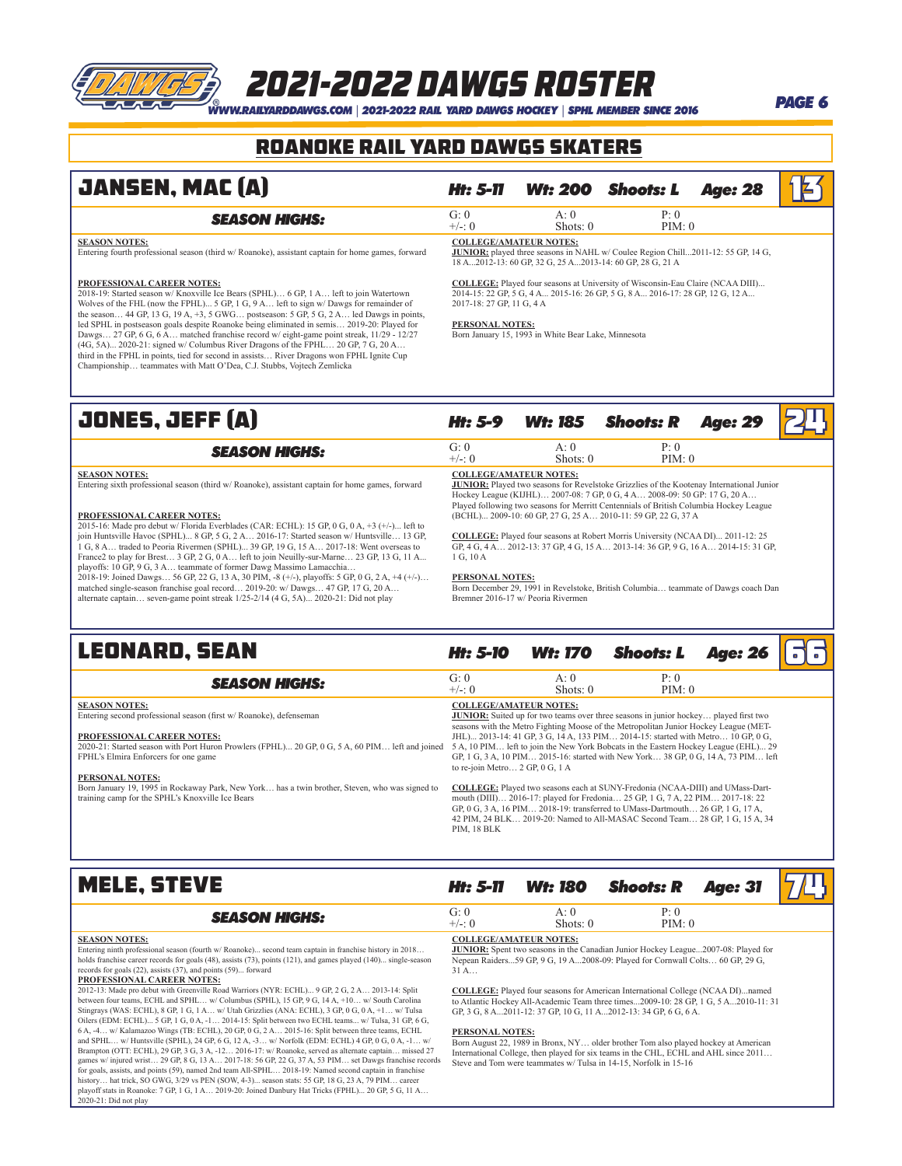## *WWW.RAILYARDDAWGS.COM* | *2021-2022 RAIL YARD DAWGS HOCKEY* | *SPHL MEMBER SINCE 2016 PAGE 6* 2021-2022 dawgs Roster

### ROANOKE RAIL YARD DAWGS Skaters

### $JANSEN, MAC (A)$  *Ht: 5-11 Wt: 200 Shoots: L Age: 28* 1 $\frac{1}{2}$ **SEASON HIGHS:** G: 0 A: 0 P: 0 P: 0 PIM: 0  $Shots: 0$ **SEASON NOTES:** Entering fourth professional season (third w/ Roanoke), assistant captain for home games, forward **PROFESSIONAL CAREER NOTES:** 2018-19: Started season w/ Knoxville Ice Bears (SPHL)… 6 GP, 1 A… left to join Watertown Wolves of the FHL (now the FPHL)... 5 GP, 1 G, 9 A… left to sign w/ Dawgs for remainder of the season… 44 GP, 13 G, 19 A, +3, 5 GWG… postseason: 5 GP, 5 G, 2 A… led Dawgs in points, led SPHL in postseason goals despite Roanoke being eliminated in semis… 2019-20: Played for Dawgs… 27 GP, 6 G, 6 A… matched franchise record w/ eight-game point streak, 11/29 - 12/27 (4G, 5A)... 2020-21: signed w/ Columbus River Dragons of the FPHL… 20 GP, 7 G, 20 A… third in the FPHL in points, tied for second in assists… River Dragons won FPHL Ignite Cup Championship… teammates with Matt O'Dea, C.J. Stubbs, Vojtech Zemlicka **COLLEGE/AMATEUR NOTES: JUNIOR:** played three seasons in NAHL w/ Coulee Region Chill...2011-12: 55 GP, 14 G, 18 A...2012-13: 60 GP, 32 G, 25 A...2013-14: 60 GP, 28 G, 21 A **COLLEGE:** Played four seasons at University of Wisconsin-Eau Claire (NCAA DIII)... 2014-15: 22 GP, 5 G, 4 A... 2015-16: 26 GP, 5 G, 8 A... 2016-17: 28 GP, 12 G, 12 A... 2017-18: 27 GP, 11 G, 4 A **PERSONAL NOTES:** Born January 15, 1993 in White Bear Lake, Minnesota **JONES, JEFF (A)** *Ht:* 5-9 *Wt:* 185 Shoots: R Age: 29 2 **SEASON HIGHS:** G: 0 A: 0 P: 0 P: 0 PIM: 0 Shots: 0 **SEASON NOTES:** Entering sixth professional season (third w/ Roanoke), assistant captain for home games, forward **PROFESSIONAL CAREER NOTES:** 2015-16: Made pro debut w/ Florida Everblades (CAR: ECHL): 15 GP, 0 G, 0 A, +3 (+/-)... left to join Huntsville Havoc (SPHL)... 8 GP, 5 G, 2 A… 2016-17: Started season w/ Huntsville… 13 GP,<br>1 G, 8 A… traded to Peoria Rivermen (SPHL)... 39 GP, 19 G, 15 A… 2017-18: Went overseas to<br>France2 to play for Brest… 3 GP, 2 G, playoffs: 10 GP, 9 G, 3 A... teammate of former Dawg Massimo Lamacchia. 2018-19: Joined Dawgs… 56 GP, 22 G, 13 A, 30 PIM, -8 (+/-), playoffs: 5 GP, 0 G, 2 A, +4 (+/-)… matched single-season franchise goal record… 2019-20: w/ Dawgs… 47 GP, 17 G, 20 A… alternate captain… seven-game point streak 1/25-2/14 (4 G, 5A)... 2020-21: Did not play **COLLEGE/AMATEUR NOTES:** JUNIOR: Played two seasons for Revelstoke Grizzlies of the Kootenay International Junior<br>Hockey League (KIJHL)... 2007-08: 7 GB<sub>,</sub> 0 G, 4 A... 2008-09: 50 GP: 17 G, 20 A...<br>Played following two seasons for Merritt Centenni (BCHL)... 2009-10: 60 GP, 27 G, 25 A… 2010-11: 59 GP, 22 G, 37 A **COLLEGE:** Played four seasons at Robert Morris University (NCAA DI)... 2011-12: 25 GP, 4 G, 4 A… 2012-13: 37 GP, 4 G, 15 A… 2013-14: 36 GP, 9 G, 16 A… 2014-15: 31 GP,  $1 \text{ G}$ , 10 A **PERSONAL NOTES:** Born December 29, 1991 in Revelstoke, British Columbia… teammate of Dawgs coach Dan Bremner 2016-17 w/ Peoria Rivermen **LEONARD, SEAN** *Ht: 5-10 Wt: 170 Shoots: L Age: 26* 6 66 **SEASON HIGHS:** G: 0 A: 0 P: 0 P: 0 PIM: 0 G: 0 A: 0 PIM: 0 Shots: 0 **SEASON NOTES:** Entering second professional season (first w/ Roanoke), defenseman **PROFESSIONAL CAREER NOTES:** 2020-21: Started season with Port Huron Prowlers (FPHL)... 20 GP, 0 G, 5 A, 60 PIM… left and joined FPHL's Elmira Enforcers for one game **PERSONAL NOTES:** Born January 19, 1995 in Rockaway Park, New York… has a twin brother, Steven, who was signed to training camp for the SPHL's Knoxville Ice Bears **COLLEGE/AMATEUR NOTES: JUNIOR:** Suited up for two teams over three seasons in junior hockey... played first two seasons with the Metro Fighting Moose of the Metropolitan Junior Hockey League (MET-JHL)... 2013-14: 41 GP, 3 G, 14 A, 133 PIM… 2014-15: started with Metro… 10 GP, 0 G, 5 A, 10 PIM… left to join the New York Bobcats in the Eastern Hockey League (EHL)... 29 GP, 1 G, 3 A, 10 PIM… 2015-16: started with New York… 38 GP, 0 G, 14 A, 73 PIM… left to re-join Metro… 2 GP, 0 G, 1 A **COLLEGE:** Played two seasons each at SUNY-Fredonia (NCAA-DIII) and UMass-Dart-

mouth (DIII)… 2016-17: played for Fredonia… 25 GP, 1 G, 7 A, 22 PIM… 2017-18: 22 GP, 0 G, 3 A, 16 PIM… 2018-19: transferred to UMass-Dartmouth… 26 GP, 1 G, 17 A, 42 PIM, 24 BLK… 2019-20: Named to All-MASAC Second Team… 28 GP, 1 G, 15 A, 34 PIM, 18 BLK

### **MELE, STEVE** *Ht: 5-11* **Wt: 180 Shoots: R Age: 31 7**

2020-21: Did not play

for goals, assists, and points (59), named 2nd team All-SPHL… 2018-19: Named second captain in franchise history... hat trick, SO GWG, 3/29 vs PEN (SOW, 4-3)... season stats: 55 GP, 18 G, 23 A, 79 PIM. playoff stats in Roanoke: 7 GP, 1 G, 1 A… 2019-20: Joined Danbury Hat Tricks (FPHL)... 20 GP, 5 G, 11 A…

| <b>SEASON HIGHS:</b>                                                                                                                                                                                                                                                                                                                                                                                                   | G: 0<br>$+/-: 0$                     | A:0<br>Shots: $0$                                                     | P: 0<br>PIM: 0                                                                                                                                                               |  |
|------------------------------------------------------------------------------------------------------------------------------------------------------------------------------------------------------------------------------------------------------------------------------------------------------------------------------------------------------------------------------------------------------------------------|--------------------------------------|-----------------------------------------------------------------------|------------------------------------------------------------------------------------------------------------------------------------------------------------------------------|--|
| <b>SEASON NOTES:</b><br>Entering ninth professional season (fourth w/ Roanoke) second team captain in franchise history in 2018<br>holds franchise career records for goals (48), assists (73), points (121), and games played (140) single-season<br>records for goals (22), assists (37), and points (59) forward<br>PROFESSIONAL CAREER NOTES:                                                                      | <b>COLLEGE/AMATEUR NOTES:</b><br>31A |                                                                       | <b>JUNIOR:</b> Spent two seasons in the Canadian Junior Hockey League2007-08: Played for<br>Nepean Raiders59 GP, 9 G, 19 A2008-09: Played for Cornwall Colts 60 GP, 29 G,    |  |
| 2012-13: Made pro debut with Greenville Road Warriors (NYR: ECHL) 9 GP, 2 G, 2 A 2013-14: Split<br>between four teams, ECHL and SPHL w/ Columbus (SPHL), 15 GP, 9 G, 14 A, +10 w/ South Carolina<br>Stingrays (WAS: ECHL), 8 GP, 1 G, 1 A w/ Utah Grizzlies (ANA: ECHL), 3 GP, 0 G, 0 A, +1 w/ Tulsa<br>Oilers (EDM: ECHL) 5 GP, 1 G, 0 A, -1 2014-15: Split between two ECHL teams w/ Tulsa, 31 GP, 6 G,              |                                      | GP, 3 G, 8 A., 2011-12: 37 GP, 10 G, 11 A., 2012-13: 34 GP, 6 G, 6 A. | <b>COLLEGE:</b> Played four seasons for American International College (NCAA DI)named<br>to Atlantic Hockey All-Academic Team three times2009-10: 28 GP, 1 G, 5 A2010-11: 31 |  |
| 6 A, -4 w/ Kalamazoo Wings (TB: ECHL), 20 GP, 0 G, 2 A 2015-16: Split between three teams, ECHL<br>and SPHL w/ Huntsville (SPHL), 24 GP, 6 G, 12 A, -3 w/ Norfolk (EDM: ECHL) 4 GP, 0 G, 0 A, -1 w/<br>Brampton (OTT: ECHL), 29 GP, 3 G, 3 A, -12 2016-17: w/ Roanoke, served as alternate captain missed 27<br>games w/ injured wrist 29 GP, 8 G, 13 A 2017-18: 56 GP, 22 G, 37 A, 53 PIM set Dawgs franchise records | <b>PERSONAL NOTES:</b>               | Steve and Tom were teammates w/Tulsa in 14-15, Norfolk in 15-16       | Born August 22, 1989 in Bronx, NY older brother Tom also played hockey at American<br>International College, then played for six teams in the CHL, ECHL and AHL since 2011   |  |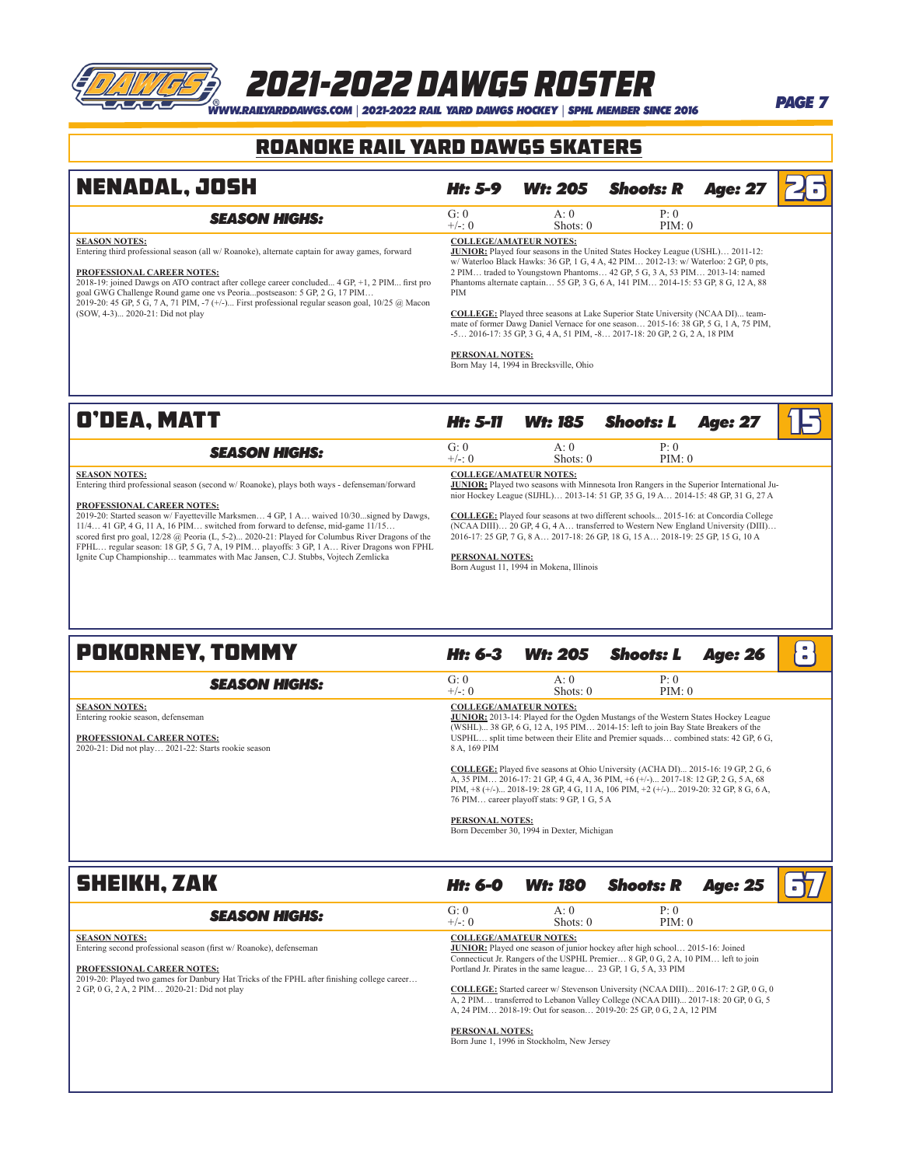# *WWW.RAILYARDDAWGS.COM* | *2021-2022 RAIL YARD DAWGS HOCKEY* | *SPHL MEMBER SINCE 2016 PAGE 7* 2021-2022 dawgs Roster

### ROANOKE RAIL YARD DAWGS Skaters

| <b>NENADAL, JOSH</b>                                                                                                                                                                                                                                                                                                                                                                                                                                                                                                                                                                                                 | <b>Ht: 5-9</b>                | <b>Wt: 205</b>                                                                                                                                                                                                                                                                                                                                                                                                                                                                                                                                                                                                                                                                   | <b>Shoots: R</b> | <b>Age: 27</b> |  |
|----------------------------------------------------------------------------------------------------------------------------------------------------------------------------------------------------------------------------------------------------------------------------------------------------------------------------------------------------------------------------------------------------------------------------------------------------------------------------------------------------------------------------------------------------------------------------------------------------------------------|-------------------------------|----------------------------------------------------------------------------------------------------------------------------------------------------------------------------------------------------------------------------------------------------------------------------------------------------------------------------------------------------------------------------------------------------------------------------------------------------------------------------------------------------------------------------------------------------------------------------------------------------------------------------------------------------------------------------------|------------------|----------------|--|
| <b>SEASON HIGHS:</b>                                                                                                                                                                                                                                                                                                                                                                                                                                                                                                                                                                                                 | G: 0<br>$+/-: 0$              | A:0<br>Shots: $0$                                                                                                                                                                                                                                                                                                                                                                                                                                                                                                                                                                                                                                                                | P: 0<br>PIM: 0   |                |  |
| <b>SEASON NOTES:</b><br>Entering third professional season (all w/ Roanoke), alternate captain for away games, forward<br>PROFESSIONAL CAREER NOTES:<br>2018-19; joined Dawgs on ATO contract after college career concluded 4 GP, +1, 2 PIM first pro<br>goal GWG Challenge Round game one vs Peoriapostseason: 5 GP, 2 G, 17 PIM<br>2019-20: 45 GP, 5 G, 7 A, 71 PIM, -7 (+/-) First professional regular season goal, $10/25$ @ Macon<br>(SOW, 4-3) 2020-21: Did not play                                                                                                                                         | <b>PIM</b><br>PERSONAL NOTES: | <b>COLLEGE/AMATEUR NOTES:</b><br>JUNIOR: Played four seasons in the United States Hockey League (USHL) 2011-12:<br>w/ Waterloo Black Hawks: 36 GP, 1 G, 4 A, 42 PIM 2012-13: w/ Waterloo: 2 GP, 0 pts,<br>2 PIM traded to Youngstown Phantoms 42 GP, 5 G, 3 A, 53 PIM 2013-14: named<br>Phantoms alternate captain 55 GP, 3 G, 6 A, 141 PIM 2014-15: 53 GP, 8 G, 12 A, 88<br><b>COLLEGE:</b> Played three seasons at Lake Superior State University (NCAA DI) team-<br>mate of former Dawg Daniel Vernace for one season 2015-16: 38 GP, 5 G, 1 A, 75 PIM,<br>-5 2016-17: 35 GP, 3 G, 4 A, 51 PIM, -8 2017-18: 20 GP, 2 G, 2 A, 18 PIM<br>Born May 14, 1994 in Brecksville, Ohio |                  |                |  |
| O'DEA, MATT                                                                                                                                                                                                                                                                                                                                                                                                                                                                                                                                                                                                          | Ht: 5-11                      | <b>Wt: 185</b>                                                                                                                                                                                                                                                                                                                                                                                                                                                                                                                                                                                                                                                                   | <b>Shoots: L</b> | <b>Age: 27</b> |  |
| <b>SEASON HIGHS:</b>                                                                                                                                                                                                                                                                                                                                                                                                                                                                                                                                                                                                 | G: 0<br>$+/-: 0$              | A:0<br>Shots: $0$                                                                                                                                                                                                                                                                                                                                                                                                                                                                                                                                                                                                                                                                | P: 0<br>PIM: 0   |                |  |
| <b>SEASON NOTES:</b><br>Entering third professional season (second w/ Roanoke), plays both ways - defenseman/forward<br>PROFESSIONAL CAREER NOTES:<br>2019-20: Started season w/ Favetteville Marksmen 4 GP, 1 A waived 10/30signed by Dawgs,<br>11/4 41 GP, 4 G, 11 A, 16 PIM switched from forward to defense, mid-game 11/15<br>scored first pro goal, $12/28$ @ Peoria (L, 5-2) 2020-21: Played for Columbus River Dragons of the<br>FPHL regular season: 18 GP, 5 G, 7 A, 19 PIM playoffs: 3 GP, 1 A River Dragons won FPHL<br>Ignite Cup Championship teammates with Mac Jansen, C.J. Stubbs, Vojtech Zemlicka | PERSONAL NOTES:               | <b>COLLEGE/AMATEUR NOTES:</b><br><b>JUNIOR:</b> Played two seasons with Minnesota Iron Rangers in the Superior International Ju-<br>nior Hockey League (SIJHL) 2013-14: 51 GP, 35 G, 19 A 2014-15: 48 GP, 31 G, 27 A<br><b>COLLEGE:</b> Played four seasons at two different schools 2015-16: at Concordia College<br>(NCAA DIII) 20 GP, 4 G, 4 A transferred to Western New England University (DIII)<br>2016-17: 25 GP, 7 G, 8 A 2017-18: 26 GP, 18 G, 15 A 2018-19: 25 GP, 15 G, 10 A                                                                                                                                                                                         |                  |                |  |

**PERSONAL NOTES:** Born August 11, 1994 in Mokena, Illinois

### **POKORNEY, TOMMY** *Ht:* 6-3 *Wt: 205 Shoots: L Age: 26* 8 **SEASON HIGHS:** G: 0 A: 0 P: 0 P: 0  $\leftarrow$  +/-: 0 Shots: 0 PIM: 0 Shots: 0 **SEASON NOTES:** Entering rookie season, defenseman **PROFESSIONAL CAREER NOTES:** 2020-21: Did not play… 2021-22: Starts rookie season **COLLEGE/AMATEUR NOTES:**<br>**JUNIOR:** 2013-14: Played for the Ogden Mustangs of the Western States Hockey League<br>(WSHL)... 38 GP, 6 G, 12 A, 195 PIM... 2014-15: left to join Bay State Breakers of the<br>USPHL... split time betwe <u>COLLEGE:</u> Played five seasons at Ohio University (ACHA DI)... 2015-16: 19 GP, 2 G, 6<br>A, 35 PIM... 2016-17: 21 GP, 4 G, 4 A, 36 PIM, +6 (+/-)... 2017-18: 12 GP, 2 G, 5 A, 68<br>PIM, +8 (+/-)... 2018-19: 28 GP, 4 G, 11 A, 106 76 PIM… career playoff stats: 9 GP, 1 G, 5 A

**PERSONAL NOTES:** Born December 30, 1994 in Dexter, Michigan

| <b>SHEIKH, ZAK</b>                                                                                                                                                                                                                                                    | Ht: 6-0          | <b>Wt: 180</b>                                                              | <b>Shoots: R</b>                                                                                                                                                                                                                                                                                                                                                                                                                                                                                  | <b>Age: 25</b> |  |
|-----------------------------------------------------------------------------------------------------------------------------------------------------------------------------------------------------------------------------------------------------------------------|------------------|-----------------------------------------------------------------------------|---------------------------------------------------------------------------------------------------------------------------------------------------------------------------------------------------------------------------------------------------------------------------------------------------------------------------------------------------------------------------------------------------------------------------------------------------------------------------------------------------|----------------|--|
| <b>SEASON HIGHS:</b>                                                                                                                                                                                                                                                  | G: 0<br>$+/-: 0$ | A:0<br>Shots: $0$                                                           | P: 0<br>PIM: 0                                                                                                                                                                                                                                                                                                                                                                                                                                                                                    |                |  |
| <b>SEASON NOTES:</b><br>Entering second professional season (first w/Roanoke), defenseman<br>PROFESSIONAL CAREER NOTES:<br>2019-20: Played two games for Danbury Hat Tricks of the FPHL after finishing college career<br>2 GP, 0 G, 2 A, 2 PIM 2020-21: Did not play | PERSONAL NOTES:  | <b>COLLEGE/AMATEUR NOTES:</b><br>Born June 1, 1996 in Stockholm, New Jersey | <b>JUNIOR:</b> Played one season of junior hockey after high school 2015-16: Joined<br>Connecticut Jr. Rangers of the USPHL Premier 8 GP, 0 G, 2 A, 10 PIM left to join<br>Portland Jr. Pirates in the same league 23 GP, 1 G, 5 A, 33 PIM<br><b>COLLEGE:</b> Started career w/ Stevenson University (NCAA DIII) 2016-17: 2 GP, 0 G, 0<br>A, 2 PIM transferred to Lebanon Valley College (NCAA DIII) 2017-18: 20 GP, 0 G, 5<br>A, 24 PIM 2018-19: Out for season 2019-20: 25 GP, 0 G, 2 A, 12 PIM |                |  |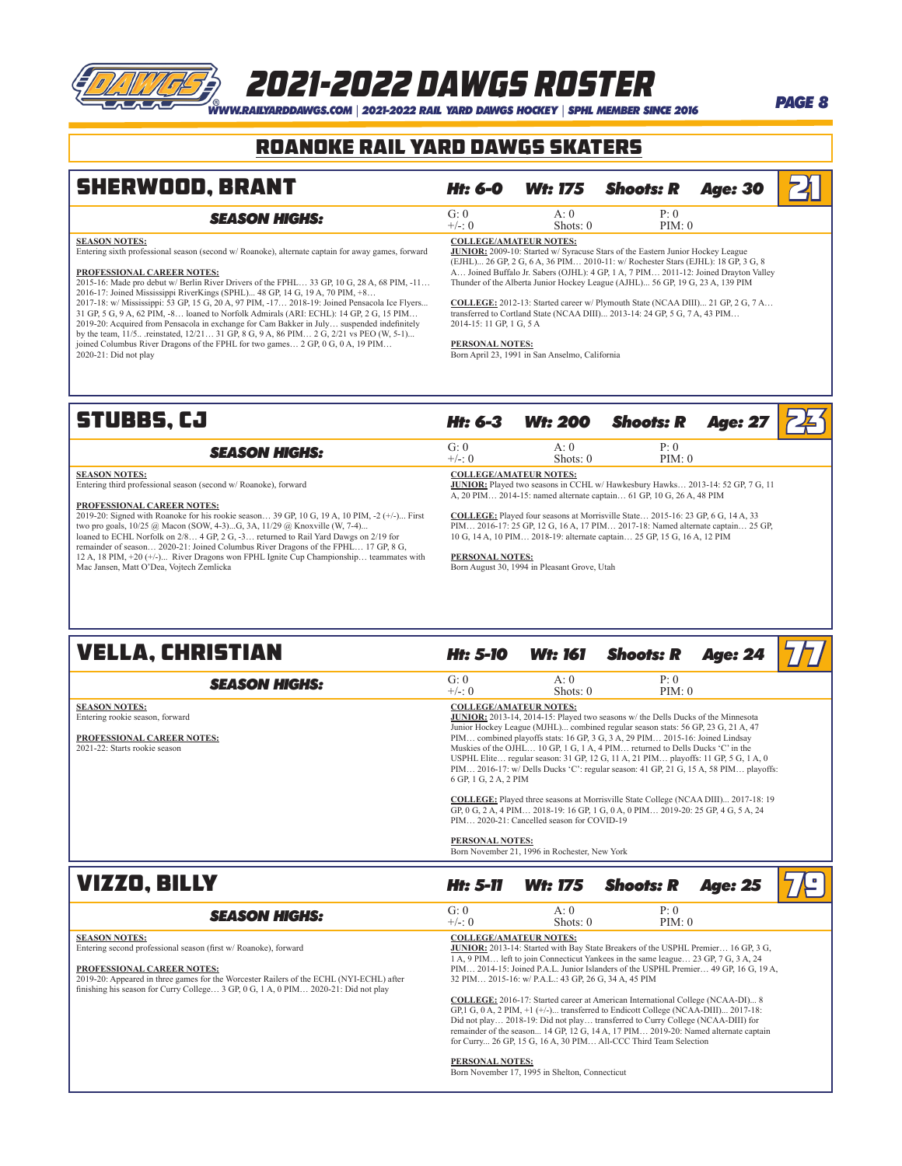# **WWW.RAILYARDDAWGS.COM |** 2021-2022 RAIL YARD DAWGS HOCKEY | SPHL MEMBER SINCE 2016 **PAGE 8**<br>WWW.RAILYARDDAWGS.COM | 2021-2022 RAIL YARD DAWGS HOCKEY | SPHL MEMBER SINCE 2016

### ROANOKE RAIL YARD DAWGS Skaters

| <b>SHERWOOD, BRANT</b>                                                                                                                                                                                                                                                                                                                                                                                                                                                                                                                                                                                                                                                                                                                                                                                                                  | Ht: 6-0                                                                      | <b>Wt: 175</b>                                 | <b>Shoots: R</b>                                                                                                                                                                                                                                                                                                                                                                                                                                                                                                         | <b>Age: 30</b> |  |
|-----------------------------------------------------------------------------------------------------------------------------------------------------------------------------------------------------------------------------------------------------------------------------------------------------------------------------------------------------------------------------------------------------------------------------------------------------------------------------------------------------------------------------------------------------------------------------------------------------------------------------------------------------------------------------------------------------------------------------------------------------------------------------------------------------------------------------------------|------------------------------------------------------------------------------|------------------------------------------------|--------------------------------------------------------------------------------------------------------------------------------------------------------------------------------------------------------------------------------------------------------------------------------------------------------------------------------------------------------------------------------------------------------------------------------------------------------------------------------------------------------------------------|----------------|--|
| <b>SEASON HIGHS:</b>                                                                                                                                                                                                                                                                                                                                                                                                                                                                                                                                                                                                                                                                                                                                                                                                                    | G: 0<br>$+/-: 0$                                                             | A:0<br>Shots: $0$                              | P: 0<br>PIM: 0                                                                                                                                                                                                                                                                                                                                                                                                                                                                                                           |                |  |
| <b>SEASON NOTES:</b><br>Entering sixth professional season (second w/ Roanoke), alternate captain for away games, forward<br><b>PROFESSIONAL CAREER NOTES:</b><br>2015-16: Made pro debut w/ Berlin River Drivers of the FPHL 33 GP, 10 G, 28 A, 68 PIM, -11<br>2016-17: Joined Mississippi RiverKings (SPHL) 48 GP, 14 G, 19 A, 70 PIM, +8<br>2017-18: w/ Mississippi: 53 GP, 15 G, 20 A, 97 PIM, -17 2018-19: Joined Pensacola Ice Flyers<br>31 GP, 5 G, 9 A, 62 PIM, -8 loaned to Norfolk Admirals (ARI: ECHL): 14 GP, 2 G, 15 PIM<br>2019-20: Acquired from Pensacola in exchange for Cam Bakker in July suspended indefinitely<br>by the team, 11/5 reinstated, 12/21 31 GP, 8 G, 9 A, 86 PIM 2 G, 2/21 vs PEO (W, 5-1)<br>joined Columbus River Dragons of the FPHL for two games 2 GP, 0 G, 0 A, 19 PIM<br>2020-21: Did not play | <b>COLLEGE/AMATEUR NOTES:</b><br>2014-15: 11 GP, 1 G, 5 A<br>PERSONAL NOTES: | Born April 23, 1991 in San Anselmo, California | <b>JUNIOR:</b> 2009-10: Started w/ Syracuse Stars of the Eastern Junior Hockey League<br>(EJHL) 26 GP, 2 G, 6 A, 36 PIM 2010-11: w/ Rochester Stars (EJHL): 18 GP, 3 G, 8<br>A Joined Buffalo Jr. Sabers (OJHL): 4 GP, 1 A, 7 PIM 2011-12: Joined Drayton Valley<br>Thunder of the Alberta Junior Hockey League (AJHL) 56 GP, 19 G, 23 A, 139 PIM<br><b>COLLEGE:</b> 2012-13: Started career w/ Plymouth State (NCAA DIII) 21 GP, 2 G, 7 A<br>transferred to Cortland State (NCAA DIII) 2013-14: 24 GP, 5 G, 7 A, 43 PIM |                |  |
| <b>STUBBS.CJ</b>                                                                                                                                                                                                                                                                                                                                                                                                                                                                                                                                                                                                                                                                                                                                                                                                                        | Ht: 6-3                                                                      | <b>Wt: 200</b>                                 | <b>Shoots: R</b>                                                                                                                                                                                                                                                                                                                                                                                                                                                                                                         | <b>Age: 27</b> |  |

| <b>SEASON HIGHS:</b>                                            | G: 0<br>$+/- 0$ | Shots: $0$                                                           | P 0<br>PIM: 0                                                                         |  |
|-----------------------------------------------------------------|-----------------|----------------------------------------------------------------------|---------------------------------------------------------------------------------------|--|
| <b>SEASON NOTES:</b>                                            |                 | <b>COLLEGE/AMATEUR NOTES:</b>                                        |                                                                                       |  |
| Entering third professional season (second w/ Roanoke), forward |                 |                                                                      | <b>JUNIOR:</b> Played two seasons in CCHL w/ Hawkesbury Hawks 2013-14: 52 GP, 7 G, 11 |  |
|                                                                 |                 | A, 20 PIM 2014-15: named alternate captain 61 GP, 10 G, 26 A, 48 PIM |                                                                                       |  |
| <b>PROFESSIONAL CAREER NOTES:</b>                               |                 |                                                                      |                                                                                       |  |

**PROFESSIONAL CAREER NOTES:**<br>2019-20: Signed with Roanoke for his rookie season... 39 GP, 10 G, 19 A, 10 PIM, -2 (+/-)... First<br>1wo pro goals, 10/25 @ Macon (SOW, 4-3)...G, 3A, 11/29 @ Knoxville (W, 7-4)...<br>10aned to ECHL

**COLLEGE:** Played four seasons at Morrisville State… 2015-16: 23 GP, 6 G, 14 A, 33 PIM… 2016-17: 25 GP, 12 G, 16 A, 17 PIM… 2017-18: Named alternate captain… 25 GP, 10 G, 14 A, 10 PIM… 2018-19: alternate captain… 25 GP, 15 G, 16 A, 12 PIM

**PERSONAL NOTES:** Born August 30, 1994 in Pleasant Grove, Utah

| <b>VELLA, CHRISTIAN</b>                                                                                                       | Ht: 5-10                                                                         | Wt: 161                                                                                     | <b>Shoots: R</b>                                                                                                                                                                                                                                                                                                                                                                                                                                                                                                                                                                                                                                                                                            | <b>Age: 24</b> |  |
|-------------------------------------------------------------------------------------------------------------------------------|----------------------------------------------------------------------------------|---------------------------------------------------------------------------------------------|-------------------------------------------------------------------------------------------------------------------------------------------------------------------------------------------------------------------------------------------------------------------------------------------------------------------------------------------------------------------------------------------------------------------------------------------------------------------------------------------------------------------------------------------------------------------------------------------------------------------------------------------------------------------------------------------------------------|----------------|--|
| <b>SEASON HIGHS:</b>                                                                                                          | G: 0<br>$+/-: 0$                                                                 | A: $0$<br>Shots: $0$                                                                        | P: 0<br>PIM: 0                                                                                                                                                                                                                                                                                                                                                                                                                                                                                                                                                                                                                                                                                              |                |  |
| <b>SEASON NOTES:</b><br>Entering rookie season, forward<br><b>PROFESSIONAL CAREER NOTES:</b><br>2021-22: Starts rookie season | <b>COLLEGE/AMATEUR NOTES:</b><br>6 GP, 1 G, 2 A, 2 PIM<br><b>PERSONAL NOTES:</b> | PIM 2020-21: Cancelled season for COVID-19<br>Born November 21, 1996 in Rochester, New York | <b>JUNIOR:</b> 2013-14, 2014-15: Played two seasons w/ the Dells Ducks of the Minnesota<br>Junior Hockey League (MJHL) combined regular season stats: 56 GP, 23 G, 21 A, 47<br>PIM combined playoffs stats: 16 GP, 3 G, 3 A, 29 PIM 2015-16: Joined Lindsay<br>Muskies of the OJHL 10 GP, 1 G, 1 A, 4 PIM returned to Dells Ducks 'C' in the<br>USPHL Elite regular season: 31 GP, 12 G, 11 A, 21 PIM playoffs: 11 GP, 5 G, 1 A, 0<br>PIM 2016-17: w/ Dells Ducks 'C': regular season: 41 GP, 21 G, 15 A, 58 PIM playoffs:<br><b>COLLEGE:</b> Played three seasons at Morrisville State College (NCAA DIII) 2017-18: 19<br>GP, 0 G, 2 A, 4 PIM 2018-19: 16 GP, 1 G, 0 A, 0 PIM 2019-20: 25 GP, 4 G, 5 A, 24 |                |  |

| VIZZO, BILLY                                                                                                                                                                                                                                                                                                 | Ht: 5-11                      | <b>Wt: 175</b>                                       | Shoots: R                                                                                                                                                                                                                                                                                                                                                                                                                      | <b>Age: 25</b> |  |
|--------------------------------------------------------------------------------------------------------------------------------------------------------------------------------------------------------------------------------------------------------------------------------------------------------------|-------------------------------|------------------------------------------------------|--------------------------------------------------------------------------------------------------------------------------------------------------------------------------------------------------------------------------------------------------------------------------------------------------------------------------------------------------------------------------------------------------------------------------------|----------------|--|
| <b>SEASON HIGHS:</b>                                                                                                                                                                                                                                                                                         | G: 0<br>$+/-$ : 0             | A:0<br>Shots: $0$                                    | P: 0<br>PIM: 0                                                                                                                                                                                                                                                                                                                                                                                                                 |                |  |
| <b>SEASON NOTES:</b><br>Entering second professional season (first w/Roanoke), forward<br><b>PROFESSIONAL CAREER NOTES:</b><br>2019-20: Appeared in three games for the Worcester Railers of the ECHL (NYI-ECHL) after<br>finishing his season for Curry College 3 GP, 0 G, 1 A, 0 PIM 2020-21: Did not play | <b>COLLEGE/AMATEUR NOTES:</b> | 32 PIM 2015-16: w/ P.A.L.: 43 GP, 26 G, 34 A, 45 PIM | <b>JUNIOR:</b> 2013-14: Started with Bay State Breakers of the USPHL Premier 16 GP, 3 G,<br>1 A, 9 PIM left to join Connecticut Yankees in the same league 23 GP, 7 G, 3 A, 24<br>PIM 2014-15: Joined P.A.L. Junior Islanders of the USPHL Premier 49 GP, 16 G, 19 A,                                                                                                                                                          |                |  |
|                                                                                                                                                                                                                                                                                                              |                               |                                                      | <b>COLLEGE:</b> 2016-17: Started career at American International College (NCAA-DI) 8<br>GP, 1 G, 0 A, 2 PIM, $+1$ ( $+/-$ ) transferred to Endicott College (NCAA-DIII) 2017-18:<br>Did not play 2018-19: Did not play transferred to Curry College (NCAA-DIII) for<br>remainder of the season 14 GP, 12 G, 14 A, 17 PIM 2019-20: Named alternate captain<br>for Curry 26 GP, 15 G, 16 A, 30 PIM All-CCC Third Team Selection |                |  |
|                                                                                                                                                                                                                                                                                                              | <b>PERSONAL NOTES:</b>        | Born November 17, 1995 in Shelton, Connecticut       |                                                                                                                                                                                                                                                                                                                                                                                                                                |                |  |